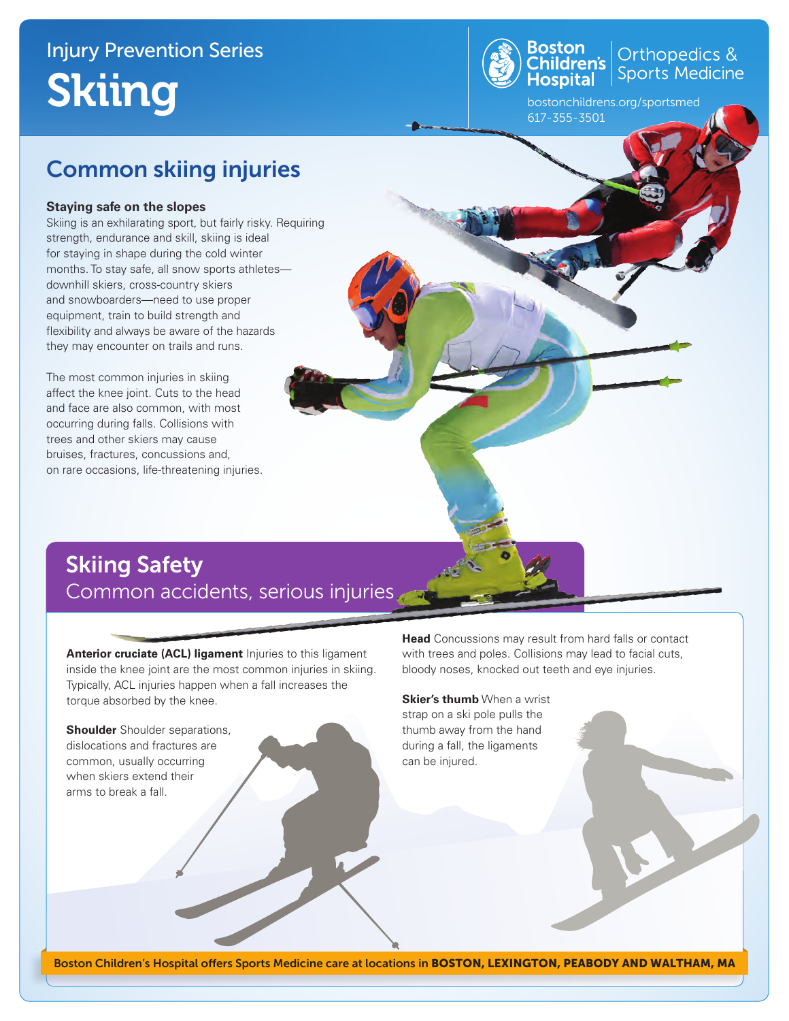# Injury Prevention Series Skiing

**Boston**<br>Children's **Children's** Sports Medicine

bostonchildrens.org/sportsmed 617-355-3501

## Common skiing injuries

#### **Staying safe on the slopes**

Skiing is an exhilarating sport, but fairly risky. Requiring strength, endurance and skill, skiing is ideal for staying in shape during the cold winter months. To stay safe, all snow sports athletes downhill skiers, cross-country skiers and snowboarders—need to use proper equipment, train to build strength and flexibility and always be aware of the hazards they may encounter on trails and runs.

The most common injuries in skiing affect the knee joint. Cuts to the head and face are also common, with most occurring during falls. Collisions with trees and other skiers may cause bruises, fractures, concussions and, on rare occasions, life-threatening injuries.

### Skiing Safety Common accidents, serious injuries

**Anterior cruciate (ACL) ligament** Injuries to this ligament inside the knee joint are the most common injuries in skiing. Typically, ACL injuries happen when a fall increases the torque absorbed by the knee.

**Shoulder** Shoulder separations, dislocations and fractures are common, usually occurring when skiers extend their arms to break a fall.

**Head** Concussions may result from hard falls or contact with trees and poles. Collisions may lead to facial cuts, bloody noses, knocked out teeth and eye injuries.

**Skier's thumb** When a wrist strap on a ski pole pulls the thumb away from the hand during a fall, the ligaments can be injured.

Boston Children's Hospital offers Sports Medicine care at locations in BOSTON, LEXINGTON, PEABODY AND WALTHAM, MA